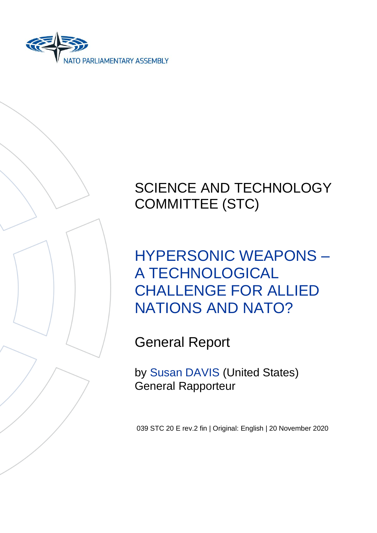



# SCIENCE AND TECHNOLOGY COMMITTEE (STC)

HYPERSONIC WEAPONS – A TECHNOLOGICAL CHALLENGE FOR ALLIED NATIONS AND NATO?

General Report

by Susan DAVIS (United States) General Rapporteur

039 STC 20 E rev.2 fin | Original: English | 20 November 2020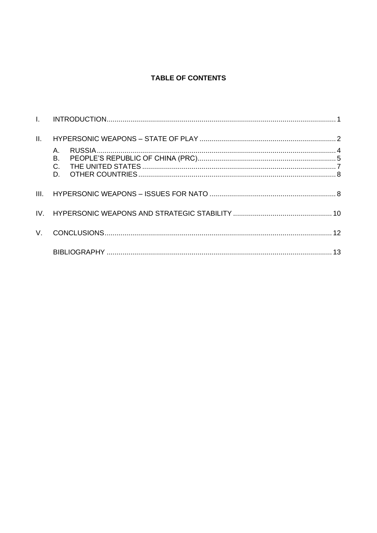## **TABLE OF CONTENTS**

| II.      |    |  |
|----------|----|--|
|          | Α. |  |
| III.     |    |  |
| $IV_{-}$ |    |  |
| V.       |    |  |
|          |    |  |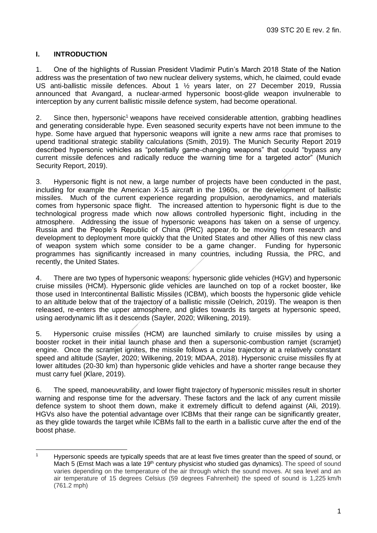## <span id="page-2-0"></span>**I. INTRODUCTION**

1. One of the highlights of Russian President Vladimir Putin's March 2018 State of the Nation address was the presentation of two new nuclear delivery systems, which, he claimed, could evade US anti-ballistic missile defences. About 1 ½ years later, on 27 December 2019, Russia announced that Avangard, a nuclear-armed hypersonic boost-glide weapon invulnerable to interception by any current ballistic missile defence system, had become operational.

2. Since then, hypersonic<sup>1</sup> weapons have received considerable attention, grabbing headlines and generating considerable hype. Even seasoned security experts have not been immune to the hype. Some have argued that hypersonic weapons will ignite a new arms race that promises to upend traditional strategic stability calculations (Smith, 2019). The Munich Security Report 2019 described hypersonic vehicles as "potentially game-changing weapons" that could "bypass any current missile defences and radically reduce the warning time for a targeted actor" (Munich Security Report, 2019).

3. Hypersonic flight is not new, a large number of projects have been conducted in the past, including for example the American X-15 aircraft in the 1960s, or the development of ballistic missiles. Much of the current experience regarding propulsion, aerodynamics, and materials comes from hypersonic space flight. The increased attention to hypersonic flight is due to the technological progress made which now allows controlled hypersonic flight, including in the atmosphere. Addressing the issue of hypersonic weapons has taken on a sense of urgency. Russia and the People's Republic of China (PRC) appear to be moving from research and development to deployment more quickly that the United States and other Allies of this new class of weapon system which some consider to be a game changer. Funding for hypersonic programmes has significantly increased in many countries, including Russia, the PRC, and recently, the United States.

4. There are two types of hypersonic weapons: hypersonic glide vehicles (HGV) and hypersonic cruise missiles (HCM). Hypersonic glide vehicles are launched on top of a rocket booster, like those used in Intercontinental Ballistic Missiles (ICBM), which boosts the hypersonic glide vehicle to an altitude below that of the trajectory of a ballistic missile (Oelrich, 2019). The weapon is then released, re-enters the upper atmosphere, and glides towards its targets at hypersonic speed, using aerodynamic lift as it descends (Sayler, 2020; Wilkening, 2019).

5. Hypersonic cruise missiles (HCM) are launched similarly to cruise missiles by using a booster rocket in their initial launch phase and then a supersonic-combustion ramjet (scramjet) engine. Once the scramjet ignites, the missile follows a cruise trajectory at a relatively constant speed and altitude (Sayler, 2020; Wilkening, 2019; MDAA, 2018). Hypersonic cruise missiles fly at lower altitudes (20-30 km) than hypersonic glide vehicles and have a shorter range because they must carry fuel (Klare, 2019).

6. The speed, manoeuvrability, and lower flight trajectory of hypersonic missiles result in shorter warning and response time for the adversary. These factors and the lack of any current missile defence system to shoot them down, make it extremely difficult to defend against (Ali, 2019). HGVs also have the potential advantage over ICBMs that their range can be significantly greater, as they glide towards the target while ICBMs fall to the earth in a ballistic curve after the end of the boost phase.

<sup>&</sup>lt;sup>1</sup> Hypersonic speeds are typically speeds that are at least five times greater than the speed of sound, or Mach 5 (Ernst Mach was a late 19<sup>th</sup> century physicist who studied gas dynamics). The speed of sound varies depending on the temperature of the air through which the sound moves. At sea level and an air temperature of 15 degrees Celsius (59 degrees Fahrenheit) the speed of sound is 1,225 km/h (761.2 mph)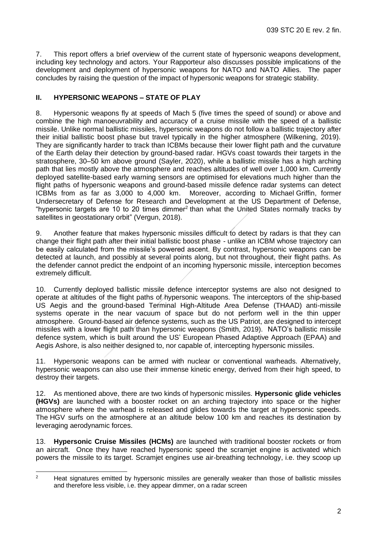7. This report offers a brief overview of the current state of hypersonic weapons development, including key technology and actors. Your Rapporteur also discusses possible implications of the development and deployment of hypersonic weapons for NATO and NATO Allies. The paper concludes by raising the question of the impact of hypersonic weapons for strategic stability.

#### <span id="page-3-0"></span>**II. HYPERSONIC WEAPONS – STATE OF PLAY**

8. Hypersonic weapons fly at speeds of Mach 5 (five times the speed of sound) or above and combine the high manoeuvrability and accuracy of a cruise missile with the speed of a ballistic missile. Unlike normal ballistic missiles, hypersonic weapons do not follow a ballistic trajectory after their initial ballistic boost phase but travel typically in the higher atmosphere (Wilkening, 2019). They are significantly harder to track than ICBMs because their lower flight path and the curvature of the Earth delay their detection by ground-based radar. HGVs coast towards their targets in the stratosphere, 30–50 km above ground (Sayler, 2020), while a ballistic missile has a high arching path that lies mostly above the atmosphere and reaches altitudes of well over 1,000 km. Currently deployed satellite-based early warning sensors are optimised for elevations much higher than the flight paths of hypersonic weapons and ground-based missile defence radar systems can detect ICBMs from as far as 3,000 to 4,000 km. Moreover, according to Michael Griffin, former Undersecretary of Defense for Research and Development at the US Department of Defense, "hypersonic targets are 10 to 20 times dimmer<sup>2</sup> than what the United States normally tracks by satellites in geostationary orbit" (Vergun, 2018).

9. Another feature that makes hypersonic missiles difficult to detect by radars is that they can change their flight path after their initial ballistic boost phase - unlike an ICBM whose trajectory can be easily calculated from the missile's powered ascent. By contrast, hypersonic weapons can be detected at launch, and possibly at several points along, but not throughout, their flight paths. As the defender cannot predict the endpoint of an incoming hypersonic missile, interception becomes extremely difficult.

10. Currently deployed ballistic missile defence interceptor systems are also not designed to operate at altitudes of the flight paths of hypersonic weapons. The interceptors of the ship-based US Aegis and the ground-based Terminal High-Altitude Area Defense (THAAD) anti-missile systems operate in the near vacuum of space but do not perform well in the thin upper atmosphere. Ground-based air defence systems, such as the US Patriot, are designed to intercept missiles with a lower flight path than hypersonic weapons (Smith, 2019). NATO's ballistic missile defence system, which is built around the US' European Phased Adaptive Approach (EPAA) and Aegis Ashore, is also neither designed to, nor capable of, intercepting hypersonic missiles.

11. Hypersonic weapons can be armed with nuclear or conventional warheads. Alternatively, hypersonic weapons can also use their immense kinetic energy, derived from their high speed, to destroy their targets.

12. As mentioned above, there are two kinds of hypersonic missiles. **Hypersonic glide vehicles (HGVs)** are launched with a booster rocket on an arching trajectory into space or the higher atmosphere where the warhead is released and glides towards the target at hypersonic speeds. The HGV surfs on the atmosphere at an altitude below 100 km and reaches its destination by leveraging aerodynamic forces.

13. **Hypersonic Cruise Missiles (HCMs)** are launched with traditional booster rockets or from an aircraft. Once they have reached hypersonic speed the scramjet engine is activated which powers the missile to its target. Scramjet engines use air-breathing technology, i.e. they scoop up

<sup>&</sup>lt;sup>2</sup> Heat signatures emitted by hypersonic missiles are generally weaker than those of ballistic missiles and therefore less visible, i.e. they appear dimmer, on a radar screen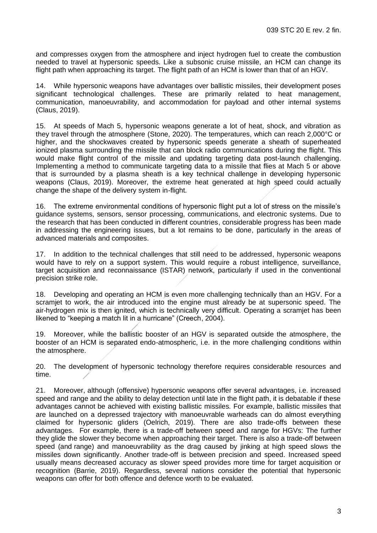and compresses oxygen from the atmosphere and inject hydrogen fuel to create the combustion needed to travel at hypersonic speeds. Like a subsonic cruise missile, an HCM can change its flight path when approaching its target. The flight path of an HCM is lower than that of an HGV.

14. While hypersonic weapons have advantages over ballistic missiles, their development poses significant technological challenges. These are primarily related to heat management, communication, manoeuvrability, and accommodation for payload and other internal systems (Claus, 2019).

15. At speeds of Mach 5, hypersonic weapons generate a lot of heat, shock, and vibration as they travel through the atmosphere (Stone, 2020). The temperatures, which can reach 2,000°C or higher, and the shockwaves created by hypersonic speeds generate a sheath of superheated ionized plasma surrounding the missile that can block radio communications during the flight. This would make flight control of the missile and updating targeting data post-launch challenging. Implementing a method to communicate targeting data to a missile that flies at Mach 5 or above that is surrounded by a plasma sheath is a key technical challenge in developing hypersonic weapons (Claus, 2019). Moreover, the extreme heat generated at high speed could actually change the shape of the delivery system in-flight.

16. The extreme environmental conditions of hypersonic flight put a lot of stress on the missile's guidance systems, sensors, sensor processing, communications, and electronic systems. Due to the research that has been conducted in different countries, considerable progress has been made in addressing the engineering issues, but a lot remains to be done, particularly in the areas of advanced materials and composites.

17. In addition to the technical challenges that still need to be addressed, hypersonic weapons would have to rely on a support system. This would require a robust intelligence, surveillance, target acquisition and reconnaissance (ISTAR) network, particularly if used in the conventional precision strike role.

18. Developing and operating an HCM is even more challenging technically than an HGV. For a scramjet to work, the air introduced into the engine must already be at supersonic speed. The air-hydrogen mix is then ignited, which is technically very difficult. Operating a scramjet has been likened to "keeping a match lit in a hurricane" (Creech, 2004).

19. Moreover, while the ballistic booster of an HGV is separated outside the atmosphere, the booster of an HCM is separated endo-atmospheric, i.e. in the more challenging conditions within the atmosphere.

20. The development of hypersonic technology therefore requires considerable resources and time.

21. Moreover, although (offensive) hypersonic weapons offer several advantages, i.e. increased speed and range and the ability to delay detection until late in the flight path, it is debatable if these advantages cannot be achieved with existing ballistic missiles. For example, ballistic missiles that are launched on a depressed trajectory with manoeuvrable warheads can do almost everything claimed for hypersonic gliders (Oelrich, 2019). There are also trade-offs between these advantages. For example, there is a trade-off between speed and range for HGVs: The further they glide the slower they become when approaching their target. There is also a trade-off between speed (and range) and manoeuvrability as the drag caused by jinking at high speed slows the missiles down significantly. Another trade-off is between precision and speed. Increased speed usually means decreased accuracy as slower speed provides more time for target acquisition or recognition (Barrie, 2019). Regardless, several nations consider the potential that hypersonic weapons can offer for both offence and defence worth to be evaluated.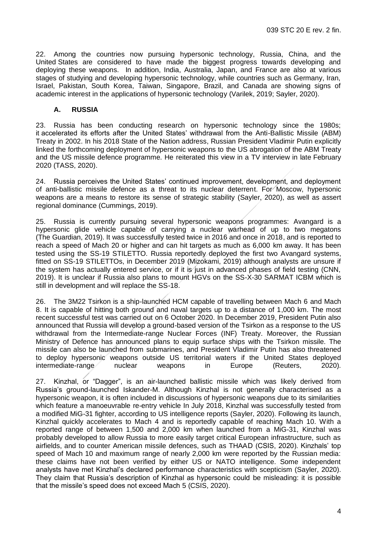22. Among the countries now pursuing hypersonic technology, Russia, China, and the United States are considered to have made the biggest progress towards developing and deploying these weapons. In addition, India, Australia, Japan, and France are also at various stages of studying and developing hypersonic technology, while countries such as Germany, Iran, Israel, Pakistan, South Korea, Taiwan, Singapore, Brazil, and Canada are showing signs of academic interest in the applications of hypersonic technology (Varilek, 2019; Sayler, 2020).

#### <span id="page-5-0"></span>**A. RUSSIA**

23. Russia has been conducting research on hypersonic technology since the 1980s; it accelerated its efforts after the United States' withdrawal from the Anti-Ballistic Missile (ABM) Treaty in 2002. In his 2018 State of the Nation address, Russian President Vladimir Putin explicitly linked the forthcoming deployment of hypersonic weapons to the US abrogation of the ABM Treaty and the US missile defence programme. He reiterated this view in a TV interview in late February 2020 (TASS, 2020).

24. Russia perceives the United States' continued improvement, development, and deployment of anti-ballistic missile defence as a threat to its nuclear deterrent. For Moscow, hypersonic weapons are a means to restore its sense of strategic stability (Sayler, 2020), as well as assert regional dominance (Cummings, 2019).

25. Russia is currently pursuing several hypersonic weapons programmes: Avangard is a hypersonic glide vehicle capable of carrying a nuclear warhead of up to two megatons (The Guardian, 2019). It was successfully tested twice in 2016 and once in 2018, and is reported to reach a speed of Mach 20 or higher and can hit targets as much as 6,000 km away. It has been tested using the SS-19 STILETTO. Russia reportedly deployed the first two Avangard systems, fitted on SS-19 STILETTOs, in December 2019 (Mizokami, 2019) although analysts are unsure if the system has actually entered service, or if it is just in advanced phases of field testing (CNN, 2019). It is unclear if Russia also plans to mount HGVs on the SS-X-30 SARMAT ICBM which is still in development and will replace the SS-18.

26. The 3M22 Tsirkon is a ship-launched HCM capable of travelling between Mach 6 and Mach 8. It is capable of hitting both ground and naval targets up to a distance of 1,000 km. The most recent successful test was carried out on 6 October 2020. In December 2019, President Putin also announced that Russia will develop a ground-based version of the Tsirkon as a response to the US withdrawal from the Intermediate-range Nuclear Forces (INF) Treaty. Moreover, the Russian Ministry of Defence has announced plans to equip surface ships with the Tsirkon missile. The missile can also be launched from submarines, and President Vladimir Putin has also threatened to deploy hypersonic weapons outside US territorial waters if the United States deployed intermediate-range nuclear weapons in Europe (Reuters, 2020).

27. Kinzhal, or "Dagger", is an air-launched ballistic missile which was likely derived from Russia's ground-launched Iskander-M. Although Kinzhal is not generally characterised as a hypersonic weapon, it is often included in discussions of hypersonic weapons due to its similarities which feature a manoeuvrable re-entry vehicle In July 2018, Kinzhal was successfully tested from a modified MiG-31 fighter, according to US intelligence reports (Sayler, 2020). Following its launch, Kinzhal quickly accelerates to Mach 4 and is reportedly capable of reaching Mach 10. With a reported range of between 1,500 and 2,000 km when launched from a MiG-31, Kinzhal was probably developed to allow Russia to more easily target critical European infrastructure, such as airfields, and to counter American missile defences, such as THAAD (CSIS, 2020). Kinzhals' top speed of Mach 10 and maximum range of nearly 2,000 km were reported by the Russian media: these claims have not been verified by either US or NATO intelligence. Some independent analysts have met Kinzhal's declared performance characteristics with scepticism (Sayler, 2020). They claim that Russia's description of Kinzhal as hypersonic could be misleading: it is possible that the missile's speed does not exceed Mach 5 (CSIS, 2020).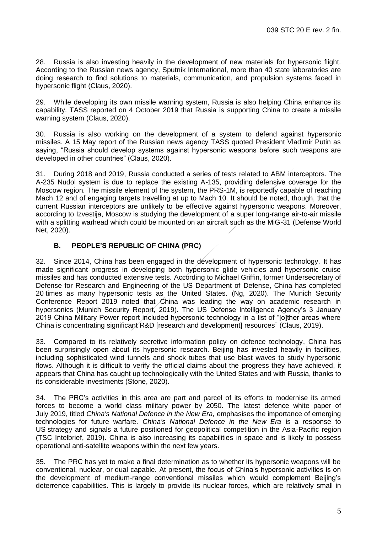28. Russia is also investing heavily in the development of new materials for hypersonic flight. According to the Russian news agency, Sputnik International, more than 40 state laboratories are doing research to find solutions to materials, communication, and propulsion systems faced in hypersonic flight (Claus, 2020).

29. While developing its own missile warning system, Russia is also helping China enhance its capability. TASS reported on 4 October 2019 that Russia is supporting China to create a missile warning system (Claus, 2020).

30. Russia is also working on the development of a system to defend against hypersonic missiles. A 15 May report of the Russian news agency TASS quoted President Vladimir Putin as saying, "Russia should develop systems against hypersonic weapons before such weapons are developed in other countries" (Claus, 2020).

31. During 2018 and 2019, Russia conducted a series of tests related to ABM interceptors. The A-235 Nudol system is due to replace the existing A-135, providing defensive coverage for the Moscow region. The missile element of the system, the PRS-1M, is reportedly capable of reaching Mach 12 and of engaging targets travelling at up to Mach 10. It should be noted, though, that the current Russian interceptors are unlikely to be effective against hypersonic weapons. Moreover, according to Izvestija, Moscow is studying the development of a super long-range air-to-air missile with a splitting warhead which could be mounted on an aircraft such as the MiG-31 (Defense World Net, 2020).

## <span id="page-6-0"></span>**B. PEOPLE'S REPUBLIC OF CHINA (PRC)**

32. Since 2014, China has been engaged in the development of hypersonic technology. It has made significant progress in developing both hypersonic glide vehicles and hypersonic cruise missiles and has conducted extensive tests. According to Michael Griffin, former Undersecretary of Defense for Research and Engineering of the US Department of Defense, China has completed 20 times as many hypersonic tests as the United States. (Ng, 2020). The Munich Security Conference Report 2019 noted that China was leading the way on academic research in hypersonics (Munich Security Report, 2019). The US Defense Intelligence Agency's 3 January 2019 China Military Power report included hypersonic technology in a list of "[o]ther areas where China is concentrating significant R&D [research and development] resources" (Claus, 2019).

33. Compared to its relatively secretive information policy on defence technology, China has been surprisingly open about its hypersonic research. Beijing has invested heavily in facilities, including sophisticated wind tunnels and shock tubes that use blast waves to study hypersonic flows. Although it is difficult to verify the official claims about the progress they have achieved, it appears that China has caught up technologically with the United States and with Russia, thanks to its considerable investments (Stone, 2020).

34. The PRC's activities in this area are part and parcel of its efforts to modernise its armed forces to become a world class military power by 2050. The latest defence white paper of July 2019, titled *China's National Defence in the New Era,* emphasises the importance of emerging technologies for future warfare. *China's National Defence in the New Era* is a response to US strategy and signals a future positioned for geopolitical competition in the Asia-Pacific region (TSC Intelbrief, 2019). China is also increasing its capabilities in space and is likely to possess operational anti-satellite weapons within the next few years.

35. The PRC has yet to make a final determination as to whether its hypersonic weapons will be conventional, nuclear, or dual capable. At present, the focus of China's hypersonic activities is on the development of medium-range conventional missiles which would complement Beijing's deterrence capabilities. This is largely to provide its nuclear forces, which are relatively small in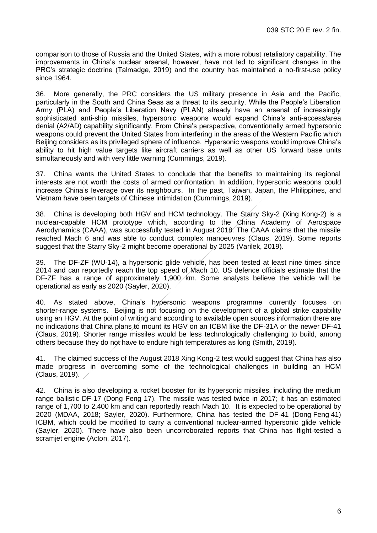comparison to those of Russia and the United States, with a more robust retaliatory capability. The improvements in China's nuclear arsenal, however, have not led to significant changes in the PRC's strategic doctrine (Talmadge, 2019) and the country has maintained a no-first-use policy since 1964.

36. More generally, the PRC considers the US military presence in Asia and the Pacific, particularly in the South and China Seas as a threat to its security. While the People's Liberation Army (PLA) and People's Liberation Navy (PLAN) already have an arsenal of increasingly sophisticated anti-ship missiles, hypersonic weapons would expand China's anti-access/area denial (A2/AD) capability significantly. From China's perspective, conventionally armed hypersonic weapons could prevent the United States from interfering in the areas of the Western Pacific which Beijing considers as its privileged sphere of influence. Hypersonic weapons would improve China's ability to hit high value targets like aircraft carriers as well as other US forward base units simultaneously and with very little warning (Cummings, 2019).

37. China wants the United States to conclude that the benefits to maintaining its regional interests are not worth the costs of armed confrontation. In addition, hypersonic weapons could increase China's leverage over its neighbours. In the past, Taiwan, Japan, the Philippines, and Vietnam have been targets of Chinese intimidation (Cummings, 2019).

38. China is developing both HGV and HCM technology. The Starry Sky-2 (Xing Kong-2) is a nuclear-capable HCM prototype which, according to the China Academy of Aerospace Aerodynamics (CAAA), was successfully tested in August 2018. The CAAA claims that the missile reached Mach 6 and was able to conduct complex manoeuvres (Claus, 2019). Some reports suggest that the Starry Sky-2 might become operational by 2025 (Varilek, 2019).

39. The DF-ZF (WU-14), a hypersonic glide vehicle, has been tested at least nine times since 2014 and can reportedly reach the top speed of Mach 10. US defence officials estimate that the DF-ZF has a range of approximately 1,900 km. Some analysts believe the vehicle will be operational as early as 2020 (Sayler, 2020).

40. As stated above, China's hypersonic weapons programme currently focuses on shorter-range systems. Beijing is not focusing on the development of a global strike capability using an HGV. At the point of writing and according to available open sources information there are no indications that China plans to mount its HGV on an ICBM like the DF-31A or the newer DF-41 (Claus, 2019). Shorter range missiles would be less technologically challenging to build, among others because they do not have to endure high temperatures as long (Smith, 2019).

41. The claimed success of the August 2018 Xing Kong-2 test would suggest that China has also made progress in overcoming some of the technological challenges in building an HCM (Claus, 2019).

42. China is also developing a rocket booster for its hypersonic missiles, including the medium range ballistic DF-17 (Dong Feng 17). The missile was tested twice in 2017; it has an estimated range of 1,700 to 2,400 km and can reportedly reach Mach 10. It is expected to be operational by 2020 (MDAA, 2018; Sayler, 2020). Furthermore, China has tested the DF-41 (Dong Feng 41) ICBM, which could be modified to carry a conventional nuclear-armed hypersonic glide vehicle (Sayler, 2020). There have also been uncorroborated reports that China has flight-tested a scramjet engine (Acton, 2017).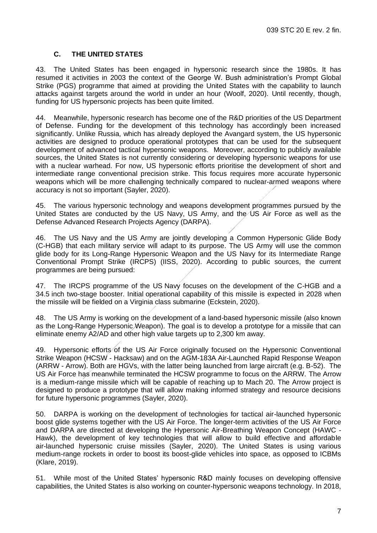## **C. THE UNITED STATES**

<span id="page-8-0"></span>43. The United States has been engaged in hypersonic research since the 1980s. It has resumed it activities in 2003 the context of the George W. Bush administration's Prompt Global Strike (PGS) programme that aimed at providing the United States with the capability to launch attacks against targets around the world in under an hour (Woolf, 2020). Until recently, though, funding for US hypersonic projects has been quite limited.

44. Meanwhile, hypersonic research has become one of the R&D priorities of the US Department of Defense. Funding for the development of this technology has accordingly been increased significantly. Unlike Russia, which has already deployed the Avangard system, the US hypersonic activities are designed to produce operational prototypes that can be used for the subsequent development of advanced tactical hypersonic weapons. Moreover, according to publicly available sources, the United States is not currently considering or developing hypersonic weapons for use with a nuclear warhead. For now, US hypersonic efforts prioritise the development of short and intermediate range conventional precision strike. This focus requires more accurate hypersonic weapons which will be more challenging technically compared to nuclear-armed weapons where accuracy is not so important (Sayler, 2020).

45. The various hypersonic technology and weapons development programmes pursued by the United States are conducted by the US Navy, US Army, and the US Air Force as well as the Defense Advanced Research Projects Agency (DARPA).

46. The US Navy and the US Army are jointly developing a Common Hypersonic Glide Body (C-HGB) that each military service will adapt to its purpose. The US Army will use the common glide body for its Long-Range Hypersonic Weapon and the US Navy for its Intermediate Range Conventional Prompt Strike (IRCPS) (IISS, 2020). According to public sources, the current programmes are being pursued:

47. The IRCPS programme of the US Navy focuses on the development of the C-HGB and a 34.5 inch two-stage booster. Initial operational capability of this missile is expected in 2028 when the missile will be fielded on a Virginia class submarine (Eckstein, 2020).

48. The US Army is working on the development of a land-based hypersonic missile (also known as the Long-Range Hypersonic Weapon). The goal is to develop a prototype for a missile that can eliminate enemy A2/AD and other high value targets up to 2,300 km away.

49. Hypersonic efforts of the US Air Force originally focused on the Hypersonic Conventional Strike Weapon (HCSW - Hacksaw) and on the AGM-183A Air-Launched Rapid Response Weapon (ARRW - Arrow). Both are HGVs, with the latter being launched from large aircraft (e.g. B-52). The US Air Force has meanwhile terminated the HCSW programme to focus on the ARRW. The Arrow is a medium-range missile which will be capable of reaching up to Mach 20. The Arrow project is designed to produce a prototype that will allow making informed strategy and resource decisions for future hypersonic programmes (Sayler, 2020).

50. DARPA is working on the development of technologies for tactical air-launched hypersonic boost glide systems together with the US Air Force. The longer-term activities of the US Air Force and DARPA are directed at developing the Hypersonic Air-Breathing Weapon Concept (HAWC - Hawk), the development of key technologies that will allow to build effective and affordable air-launched hypersonic cruise missiles (Sayler, 2020). The United States is using various medium-range rockets in order to boost its boost-glide vehicles into space, as opposed to ICBMs (Klare, 2019).

51. While most of the United States' hypersonic R&D mainly focuses on developing offensive capabilities, the United States is also working on counter-hypersonic weapons technology. In 2018,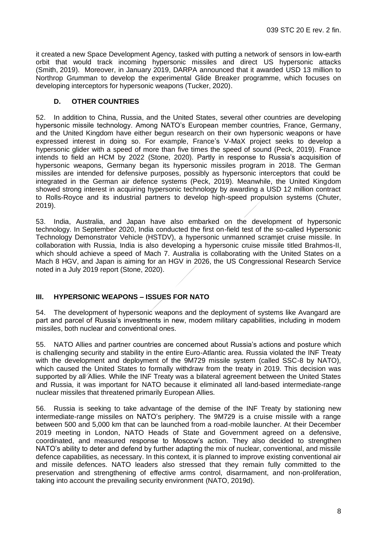it created a new Space Development Agency, tasked with putting a network of sensors in low-earth orbit that would track incoming hypersonic missiles and direct US hypersonic attacks (Smith, 2019). Moreover, in January 2019, DARPA announced that it awarded USD 13 million to Northrop Grumman to develop the experimental Glide Breaker programme, which focuses on developing interceptors for hypersonic weapons (Tucker, 2020).

#### <span id="page-9-0"></span>**D. OTHER COUNTRIES**

52. In addition to China, Russia, and the United States, several other countries are developing hypersonic missile technology. Among NATO's European member countries, France, Germany, and the United Kingdom have either begun research on their own hypersonic weapons or have expressed interest in doing so. For example, France's V-MaX project seeks to develop a hypersonic glider with a speed of more than five times the speed of sound (Peck, 2019). France intends to field an HCM by 2022 (Stone, 2020). Partly in response to Russia's acquisition of hypersonic weapons, Germany began its hypersonic missiles program in 2018. The German missiles are intended for defensive purposes, possibly as hypersonic interceptors that could be integrated in the German air defence systems (Peck, 2019). Meanwhile, the United Kingdom showed strong interest in acquiring hypersonic technology by awarding a USD 12 million contract to Rolls-Royce and its industrial partners to develop high-speed propulsion systems (Chuter, 2019).

53. India, Australia, and Japan have also embarked on the development of hypersonic technology. In September 2020, India conducted the first on-field test of the so-called Hypersonic Technology Demonstrator Vehicle (HSTDV), a hypersonic unmanned scramjet cruise missile. In collaboration with Russia, India is also developing a hypersonic cruise missile titled Brahmos-II, which should achieve a speed of Mach 7. Australia is collaborating with the United States on a Mach 8 HGV, and Japan is aiming for an HGV in 2026, the US Congressional Research Service noted in a July 2019 report (Stone, 2020).

#### <span id="page-9-1"></span>**III. HYPERSONIC WEAPONS – ISSUES FOR NATO**

54. The development of hypersonic weapons and the deployment of systems like Avangard are part and parcel of Russia's investments in new, modern military capabilities, including in modern missiles, both nuclear and conventional ones.

55. NATO Allies and partner countries are concerned about Russia's actions and posture which is challenging security and stability in the entire Euro-Atlantic area. Russia violated the INF Treaty with the development and deployment of the 9M729 missile system (called SSC-8 by NATO), which caused the United States to formally withdraw from the treaty in 2019. This decision was supported by all Allies. While the INF Treaty was a bilateral agreement between the United States and Russia, it was important for NATO because it eliminated all land-based intermediate-range nuclear missiles that threatened primarily European Allies.

56. Russia is seeking to take advantage of the demise of the INF Treaty by stationing new intermediate-range missiles on NATO's periphery. The 9M729 is a cruise missile with a range between 500 and 5,000 km that can be launched from a road-mobile launcher. At their December 2019 meeting in London, NATO Heads of State and Government agreed on a defensive, coordinated, and measured response to Moscow's action. They also decided to strengthen NATO's ability to deter and defend by further adapting the mix of nuclear, conventional, and missile defence capabilities, as necessary. In this context, it is planned to improve existing conventional air and missile defences. NATO leaders also stressed that they remain fully committed to the preservation and strengthening of effective arms control, disarmament, and non-proliferation, taking into account the prevailing security environment (NATO, 2019d).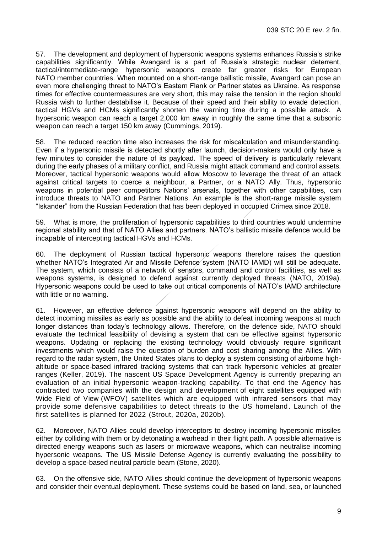57. The development and deployment of hypersonic weapons systems enhances Russia's strike capabilities significantly. While Avangard is a part of Russia's strategic nuclear deterrent, tactical/intermediate-range hypersonic weapons create far greater risks for European NATO member countries. When mounted on a short-range ballistic missile, Avangard can pose an even more challenging threat to NATO's Eastern Flank or Partner states as Ukraine. As response times for effective countermeasures are very short, this may raise the tension in the region should Russia wish to further destabilise it. Because of their speed and their ability to evade detection, tactical HGVs and HCMs significantly shorten the warning time during a possible attack. A hypersonic weapon can reach a target 2,000 km away in roughly the same time that a subsonic weapon can reach a target 150 km away (Cummings, 2019).

58. The reduced reaction time also increases the risk for miscalculation and misunderstanding. Even if a hypersonic missile is detected shortly after launch, decision-makers would only have a few minutes to consider the nature of its payload. The speed of delivery is particularly relevant during the early phases of a military conflict, and Russia might attack command and control assets. Moreover, tactical hypersonic weapons would allow Moscow to leverage the threat of an attack against critical targets to coerce a neighbour, a Partner, or a NATO Ally. Thus, hypersonic weapons in potential peer competitors Nations' arsenals, together with other capabilities, can introduce threats to NATO and Partner Nations. An example is the short-range missile system "Iskander" from the Russian Federation that has been deployed in occupied Crimea since 2018.

59. What is more, the proliferation of hypersonic capabilities to third countries would undermine regional stability and that of NATO Allies and partners. NATO's ballistic missile defence would be incapable of intercepting tactical HGVs and HCMs.

60. The deployment of Russian tactical hypersonic weapons therefore raises the question whether NATO's Integrated Air and Missile Defence system (NATO IAMD) will still be adequate. The system, which consists of a network of sensors, command and control facilities, as well as weapons systems, is designed to defend against currently deployed threats (NATO, 2019a). Hypersonic weapons could be used to take out critical components of NATO's IAMD architecture with little or no warning.

61. However, an effective defence against hypersonic weapons will depend on the ability to detect incoming missiles as early as possible and the ability to defeat incoming weapons at much longer distances than today's technology allows. Therefore, on the defence side, NATO should evaluate the technical feasibility of devising a system that can be effective against hypersonic weapons. Updating or replacing the existing technology would obviously require significant investments which would raise the question of burden and cost sharing among the Allies. With regard to the radar system, the United States plans to deploy a system consisting of airborne highaltitude or space-based infrared tracking systems that can track hypersonic vehicles at greater ranges (Keller, 2019). The nascent US Space Development Agency is currently preparing an evaluation of an initial hypersonic weapon-tracking capability. To that end the Agency has contracted two companies with the design and development of eight satellites equipped with Wide Field of View (WFOV) satellites which are equipped with infrared sensors that may provide some defensive capabilities to detect threats to the US homeland. Launch of the first satellites is planned for 2022 (Strout, 2020a, 2020b).

62. Moreover, NATO Allies could develop interceptors to destroy incoming hypersonic missiles either by colliding with them or by detonating a warhead in their flight path. A possible alternative is directed energy weapons such as lasers or microwave weapons, which can neutralise incoming hypersonic weapons. The US Missile Defense Agency is currently evaluating the possibility to develop a space-based neutral particle beam (Stone, 2020).

63. On the offensive side, NATO Allies should continue the development of hypersonic weapons and consider their eventual deployment. These systems could be based on land, sea, or launched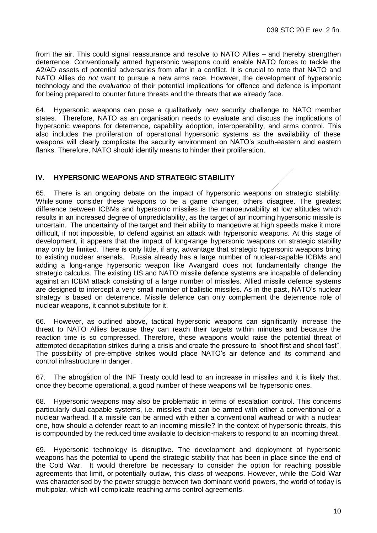from the air. This could signal reassurance and resolve to NATO Allies – and thereby strengthen deterrence. Conventionally armed hypersonic weapons could enable NATO forces to tackle the A2/AD assets of potential adversaries from afar in a conflict. It is crucial to note that NATO and NATO Allies do *not* want to pursue a new arms race. However, the development of hypersonic technology and the *evaluation* of their potential implications for offence and defence is important for being prepared to counter future threats and the threats that we already face.

64. Hypersonic weapons can pose a qualitatively new security challenge to NATO member states. Therefore, NATO as an organisation needs to evaluate and discuss the implications of hypersonic weapons for deterrence, capability adoption, interoperability, and arms control. This also includes the proliferation of operational hypersonic systems as the availability of these weapons will clearly complicate the security environment on NATO's south-eastern and eastern flanks. Therefore, NATO should identify means to hinder their proliferation.

#### <span id="page-11-0"></span>**IV. HYPERSONIC WEAPONS AND STRATEGIC STABILITY**

65. There is an ongoing debate on the impact of hypersonic weapons on strategic stability. While some consider these weapons to be a game changer, others disagree. The greatest difference between ICBMs and hypersonic missiles is the manoeuvrability at low altitudes which results in an increased degree of unpredictability, as the target of an incoming hypersonic missile is uncertain. The uncertainty of the target and their ability to manoeuvre at high speeds make it more difficult, if not impossible, to defend against an attack with hypersonic weapons. At this stage of development, it appears that the impact of long-range hypersonic weapons on strategic stability may only be limited. There is only little, if any, advantage that strategic hypersonic weapons bring to existing nuclear arsenals. Russia already has a large number of nuclear-capable ICBMs and adding a long-range hypersonic weapon like Avangard does not fundamentally change the strategic calculus. The existing US and NATO missile defence systems are incapable of defending against an ICBM attack consisting of a large number of missiles. Allied missile defence systems are designed to intercept a very small number of ballistic missiles. As in the past, NATO's nuclear strategy is based on deterrence. Missile defence can only complement the deterrence role of nuclear weapons, it cannot substitute for it.

66. However, as outlined above, tactical hypersonic weapons can significantly increase the threat to NATO Allies because they can reach their targets within minutes and because the reaction time is so compressed. Therefore, these weapons would raise the potential threat of attempted decapitation strikes during a crisis and create the pressure to "shoot first and shoot fast". The possibility of pre-emptive strikes would place NATO's air defence and its command and control infrastructure in danger.

67. The abrogation of the INF Treaty could lead to an increase in missiles and it is likely that, once they become operational, a good number of these weapons will be hypersonic ones.

68. Hypersonic weapons may also be problematic in terms of escalation control. This concerns particularly dual-capable systems, i.e. missiles that can be armed with either a conventional or a nuclear warhead. If a missile can be armed with either a conventional warhead or with a nuclear one, how should a defender react to an incoming missile? In the context of hypersonic threats, this is compounded by the reduced time available to decision-makers to respond to an incoming threat.

69. Hypersonic technology is disruptive. The development and deployment of hypersonic weapons has the potential to upend the strategic stability that has been in place since the end of the Cold War. It would therefore be necessary to consider the option for reaching possible agreements that limit, or potentially outlaw, this class of weapons. However, while the Cold War was characterised by the power struggle between two dominant world powers, the world of today is multipolar, which will complicate reaching arms control agreements.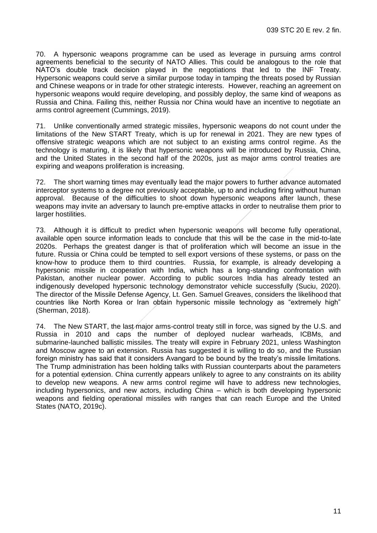70. A hypersonic weapons programme can be used as leverage in pursuing arms control agreements beneficial to the security of NATO Allies. This could be analogous to the role that NATO's double track decision played in the negotiations that led to the INF Treaty. Hypersonic weapons could serve a similar purpose today in tamping the threats posed by Russian and Chinese weapons or in trade for other strategic interests. However, reaching an agreement on hypersonic weapons would require developing, and possibly deploy, the same kind of weapons as Russia and China. Failing this, neither Russia nor China would have an incentive to negotiate an arms control agreement (Cummings, 2019).

71. Unlike conventionally armed strategic missiles, hypersonic weapons do not count under the limitations of the New START Treaty, which is up for renewal in 2021. They are new types of offensive strategic weapons which are not subject to an existing arms control regime. As the technology is maturing, it is likely that hypersonic weapons will be introduced by Russia, China, and the United States in the second half of the 2020s, just as major arms control treaties are expiring and weapons proliferation is increasing.

72. The short warning times may eventually lead the major powers to further advance automated interceptor systems to a degree not previously acceptable, up to and including firing without human approval. Because of the difficulties to shoot down hypersonic weapons after launch, these weapons may invite an adversary to launch pre-emptive attacks in order to neutralise them prior to larger hostilities.

73. Although it is difficult to predict when hypersonic weapons will become fully operational, available open source information leads to conclude that this will be the case in the mid-to-late 2020s. Perhaps the greatest danger is that of proliferation which will become an issue in the future. Russia or China could be tempted to sell export versions of these systems, or pass on the know-how to produce them to third countries. Russia, for example, is already developing a hypersonic missile in cooperation with India, which has a long-standing confrontation with Pakistan, another nuclear power. According to public sources India has already tested an indigenously developed hypersonic technology demonstrator vehicle successfully (Suciu, 2020). The director of the Missile Defense Agency, Lt. Gen. Samuel Greaves, considers the likelihood that countries like North Korea or Iran obtain hypersonic missile technology as "extremely high" (Sherman, 2018).

<span id="page-12-0"></span>74. The New START, the last major arms-control treaty still in force, was signed by the U.S. and Russia in 2010 and caps the number of deployed nuclear warheads, ICBMs, and submarine-launched ballistic missiles. The treaty will expire in February 2021, unless Washington and Moscow agree to an extension. Russia has suggested it is willing to do so, and the Russian foreign ministry has said that it considers Avangard to be bound by the treaty's missile limitations. The Trump administration has been holding talks with Russian counterparts about the parameters for a potential extension. China currently appears unlikely to agree to any constraints on its ability to develop new weapons. A new arms control regime will have to address new technologies, including hypersonics, and new actors, including China – which is both developing hypersonic weapons and fielding operational missiles with ranges that can reach Europe and the United States (NATO, 2019c).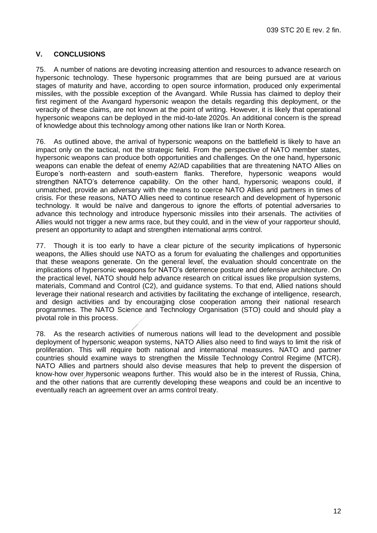## **V. CONCLUSIONS**

75. A number of nations are devoting increasing attention and resources to advance research on hypersonic technology. These hypersonic programmes that are being pursued are at various stages of maturity and have, according to open source information, produced only experimental missiles, with the possible exception of the Avangard. While Russia has claimed to deploy their first regiment of the Avangard hypersonic weapon the details regarding this deployment, or the veracity of these claims, are not known at the point of writing. However, it is likely that operational hypersonic weapons can be deployed in the mid-to-late 2020s. An additional concern is the spread of knowledge about this technology among other nations like Iran or North Korea.

76. As outlined above, the arrival of hypersonic weapons on the battlefield is likely to have an impact only on the tactical, not the strategic field. From the perspective of NATO member states, hypersonic weapons can produce both opportunities and challenges. On the one hand, hypersonic weapons can enable the defeat of enemy A2/AD capabilities that are threatening NATO Allies on Europe's north-eastern and south-eastern flanks. Therefore, hypersonic weapons would strengthen NATO's deterrence capability. On the other hand, hypersonic weapons could, if unmatched, provide an adversary with the means to coerce NATO Allies and partners in times of crisis. For these reasons, NATO Allies need to continue research and development of hypersonic technology. It would be naïve and dangerous to ignore the efforts of potential adversaries to advance this technology and introduce hypersonic missiles into their arsenals. The activities of Allies would not trigger a new arms race, but they could, and in the view of your rapporteur should, present an opportunity to adapt and strengthen international arms control.

77. Though it is too early to have a clear picture of the security implications of hypersonic weapons, the Allies should use NATO as a forum for evaluating the challenges and opportunities that these weapons generate. On the general level, the evaluation should concentrate on the implications of hypersonic weapons for NATO's deterrence posture and defensive architecture. On the practical level, NATO should help advance research on critical issues like propulsion systems, materials, Command and Control (C2), and guidance systems. To that end, Allied nations should leverage their national research and activities by facilitating the exchange of intelligence, research, and design activities and by encouraging close cooperation among their national research programmes. The NATO Science and Technology Organisation (STO) could and should play a pivotal role in this process.

78. As the research activities of numerous nations will lead to the development and possible deployment of hypersonic weapon systems, NATO Allies also need to find ways to limit the risk of proliferation. This will require both national and international measures. NATO and partner countries should examine ways to strengthen the Missile Technology Control Regime (MTCR). NATO Allies and partners should also devise measures that help to prevent the dispersion of know-how over hypersonic weapons further. This would also be in the interest of Russia, China, and the other nations that are currently developing these weapons and could be an incentive to eventually reach an agreement over an arms control treaty.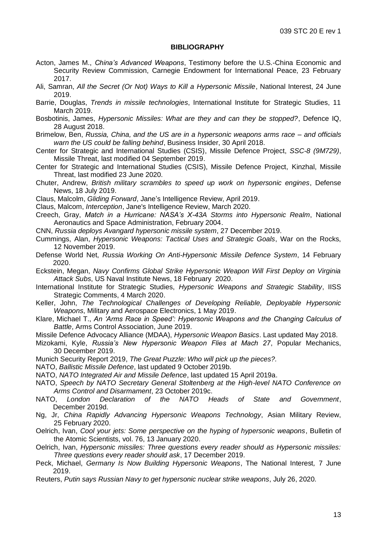#### **BIBLIOGRAPHY**

- <span id="page-14-0"></span>Acton, James M., *[China's Advanced Weapons](https://carnegieendowment.org/files/Acton_Testimony_2_23_17.pdf)*, Testimony before the U.S.-China Economic and Security Review Commission, Carnegie Endowment for International Peace, 23 February 2017.
- Ali, Samran, *[All the Secret \(Or Not\) Ways to Kill a Hypersonic Missile](https://nationalinterest.org/blog/buzz/all-secret-or-not-ways-kill-hypersonic-missile-64031)*, National Interest, 24 June 2019.
- Barrie, Douglas, *[Trends in missile technologies](https://www.iiss.org/blogs/analysis/2019/03/trends-in-missile-technologies)*, International Institute for Strategic Studies, 11 March 2019.
- Bosbotinis, James, *[Hypersonic Missiles: What are they and can they be stopped?](https://www.defenceiq.com/defence-technology/case-studies/hypersonic-missiles-what-are-they-and-can-they-be-stopped)*, Defence IQ, 28 August 2018.
- Brimelow, Ben, *[Russia, China, and the US are in a hypersonic weapons arms race –](https://www.businessinsider.com/hypersonic-weapons-us-china-russia-arms-race-2018-4?r=US&IR=T) and officials [warn the US could be falling behind](https://www.businessinsider.com/hypersonic-weapons-us-china-russia-arms-race-2018-4?r=US&IR=T)*, Business Insider, 30 April 2018.
- Center for Strategic and International Studies (CSIS), Missile Defence Project, *[SSC-8 \(9M729\)](https://missilethreat.csis.org/missile/ssc-8-novator-9m729/)*, Missile Threat, last modified 04 September 2019.
- Center for Strategic and International Studies (CSIS), Missile Defence Project, [Kinzhal,](https://missilethreat.csis.org/missile/kinzhal/) Missile Threat, last modified 23 June 2020.
- Chuter, Andrew, *[British military scrambles to speed up work on hypersonic engines](https://www.defensenews.com/global/europe/2019/07/18/british-military-scrambles-to-speed-up-work-on-hypersonic-engines-weapons/)*, Defense News, 18 July 2019.
- Claus, Malcolm, *[Gliding Forward](https://emagazines.janes.com/webviewer/#janesintelligencereviewapril2019/gliding_forward)*, Jane's Intelligence Review, April 2019.

Claus, Malcom, *[Interception](https://emagazines.janes.com/webviewer/#janesintelligencereviewmarch2020/proliferation_procurement_interception_reception)*, Jane's Intelligence Review, March 2020.

- Creech, Gray, *[Match in a Hurricane: NASA's X-43A Storms into Hypersonic Realm](https://www.nasa.gov/missions/research/X-43_overview.html)*, National Aeronautics and Space Administration, February 2004.
- CNN, *[Russia deploys Avangard hypersonic missile system](https://www.bbc.com/news/world-europe-50927648)*, 27 December 2019.
- Cummings, Alan, *[Hypersonic Weapons: Tactical Uses and Strategic Goals](https://warontherocks.com/2019/11/hypersonic-weapons-tactical-uses-and-strategic-goals/)*, War on the Rocks, 12 November 2019.
- Defense World Net, *[Russia Working On Anti-Hypersonic Missile Defence System](https://www.defenseworld.net/news/26350/Russia_Working_on_Anti_Hypersonic_Missile_Defence_System)*, 14 February 2020.
- Eckstein, Megan, *[Navy Confirms Global Strike Hypersonic Weapon Will First Deploy on Virginia](https://news.usni.org/2020/02/18/navy-confirms-global-strike-hypersonic-weapon-will-first-deploy-on-virginia-attack-subs)  [Attack Subs](https://news.usni.org/2020/02/18/navy-confirms-global-strike-hypersonic-weapon-will-first-deploy-on-virginia-attack-subs)*, US Naval Institute News, 18 February 2020.
- International Institute for Strategic Studies, *[Hypersonic Weapons and Strategic Stability](https://www.iiss.org/~/publication/23a21359-6cb1-4355-b6be-f6aba4a5c1e9/hypersonic-weapons-and-strategic-stability.pdf)*, IISS Strategic Comments, 4 March 2020.
- Keller, John, *[The Technological Challenges of Developing Reliable, Deployable Hypersonic](https://www.militaryaerospace.com/sensors/article/14033391/the-technological-challenges-of-developing-reliable-deployable-hypersonic-weapons)  [Weapons](https://www.militaryaerospace.com/sensors/article/14033391/the-technological-challenges-of-developing-reliable-deployable-hypersonic-weapons)*, Military and Aerospace Electronics, 1 May 2019.
- Klare, Michael T., *[An 'Arms Race in Speed': Hypersonic Weapons and the Changing Calculus of](https://www.armscontrol.org/act/2019-06/features/arms-race-speed-hypersonic-weapons-changing-calculus-battle)  [Battle](https://www.armscontrol.org/act/2019-06/features/arms-race-speed-hypersonic-weapons-changing-calculus-battle)*, Arms Control Association, June 2019.
- Missile Defence Advocacy Alliance (MDAA), *[Hypersonic Weapon Basics](https://missiledefenseadvocacy.org/missile-threat-and-proliferation/missile-basics/hypersonic-missiles/)*. Last updated May 2018.
- Mizokami, Kyle, *[Russia's New Hypersonic Weapon Flies at Mach 27](https://www.popularmechanics.com/military/weapons/a30346798/russia-new-hypersonic-weapon-mach-27/)*, Popular Mechanics, 30 December 2019.
- Munich Security Report 2019, *[The Great Puzzle: Who will pick up the pieces?.](https://securityconference.org/en/publications/munich-security-report-2019/)*
- NATO, *[Ballistic Missile Defence](https://www.nato.int/cps/en/natohq/topics_49635.htm)*, last updated 9 October 2019b.
- NATO, *[NATO Integrated Air and Missile Defence](https://www.nato.int/cps/en/natohq/topics_8206.htm)*, last updated 15 April 2019a.
- NATO, *[Speech by NATO Secretary General Stoltenberg at the High-level NATO Conference on](https://www.nato.int/cps/fr/natohq/opinions_169930.htm)  [Arms Control and Disarmament](https://www.nato.int/cps/fr/natohq/opinions_169930.htm)*, 23 October 2019c.
- NATO, *[London Declaration of the NATO Heads of State and Government](https://www.nato.int/cps/en/natohq/official_texts_171584.htm)*, December 2019d.
- Ng, Jr, *[China Rapidly Advancing Hypersonic Weapons Technology](https://asianmilitaryreview.com/2020/02/china-rapidly-advancing-hypersonic-weapons-technology/)*, Asian Military Review, 25 February 2020.
- Oelrich, Ivan, *[Cool your jets: Some perspective on the hyping of hypersonic weapons](https://www.tandfonline.com/doi/full/10.1080/00963402.2019.1701283)*, Bulletin of the Atomic Scientists, vol. 76, 13 January 2020.
- Oelrich, Ivan, *[Hypersonic missiles: Three questions every reader should as Hypersonic missiles:](https://thebulletin.org/2019/12/hypersonic-missiles-three-questions-every-reader-should-ask/)  Three [questions every reader should ask](https://thebulletin.org/2019/12/hypersonic-missiles-three-questions-every-reader-should-ask/)*, 17 December 2019.
- Peck, Michael, *[Germany Is Now Building Hypersonic Weapons](https://nationalinterest.org/blog/buzz/germany-now-building-hypersonic-weapons-61652)*, The National Interest*,* 7 June 2019.
- Reuters, *[Putin says Russian Navy to get hypersonic nuclear strike weapons](https://www.reuters.com/article/us-russia-navy-day-parade-putin/putin-says-russian-navy-to-get-hypersonic-nuclear-strike-weapons-idUSKCN24R0CJ)*, July 26, 2020.